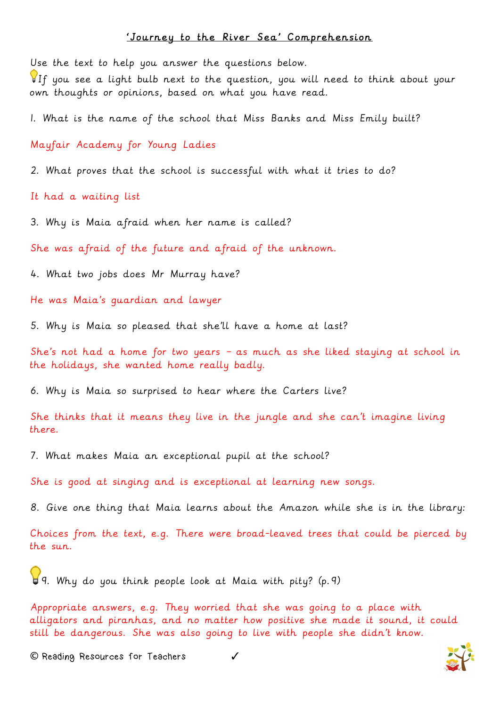## 'Journey to the River Sea' Comprehension

Use the text to help you answer the questions below.

If you see a light bulb next to the question, you will need to think about your own thoughts or opinions, based on what you have read.

1. What is the name of the school that Miss Banks and Miss Emily built?

Mayfair Academy for Young Ladies

2. What proves that the school is successful with what it tries to do?

It had a waiting list

3. Why is Maia afraid when her name is called?

She was afraid of the future and afraid of the unknown.

4. What two jobs does Mr Murray have?

He was Maia's guardian and lawyer

5. Why is Maia so pleased that she'll have a home at last?

She's not had a home for two years – as much as she liked staying at school in the holidays, she wanted home really badly.

6. Why is Maia so surprised to hear where the Carters live?

She thinks that it means they live in the jungle and she can't imagine living there.

7. What makes Maia an exceptional pupil at the school?

She is good at singing and is exceptional at learning new songs.

8. Give one thing that Maia learns about the Amazon while she is in the library:

Choices from the text, e.g. There were broad-leaved trees that could be pierced by the sun.

9. Why do you think people look at Maia with pity? (p.9)

Appropriate answers, e.g. They worried that she was going to a place with alligators and piranhas, and no matter how positive she made it sound, it could still be dangerous. She was also going to live with people she didn't know.

**©** Reading Resources for Teachers ✓